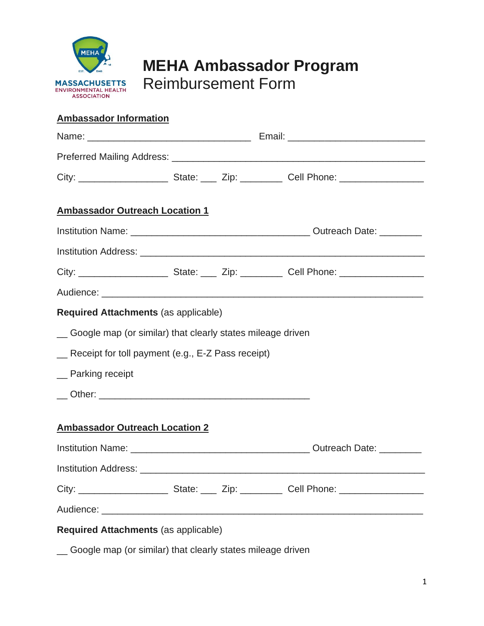

## **MEHA Ambassador Program** Reimbursement Form

## **Ambassador Information**

| <b>Ambassador Outreach Location 1</b>                        |  |  |  |  |
|--------------------------------------------------------------|--|--|--|--|
|                                                              |  |  |  |  |
|                                                              |  |  |  |  |
|                                                              |  |  |  |  |
|                                                              |  |  |  |  |
| Required Attachments (as applicable)                         |  |  |  |  |
| _ Google map (or similar) that clearly states mileage driven |  |  |  |  |
| _ Receipt for toll payment (e.g., E-Z Pass receipt)          |  |  |  |  |
| _ Parking receipt                                            |  |  |  |  |
|                                                              |  |  |  |  |
| <b>Ambassador Outreach Location 2</b>                        |  |  |  |  |
|                                                              |  |  |  |  |
|                                                              |  |  |  |  |
|                                                              |  |  |  |  |
|                                                              |  |  |  |  |
| <b>Required Attachments (as applicable)</b>                  |  |  |  |  |

\_\_ Google map (or similar) that clearly states mileage driven